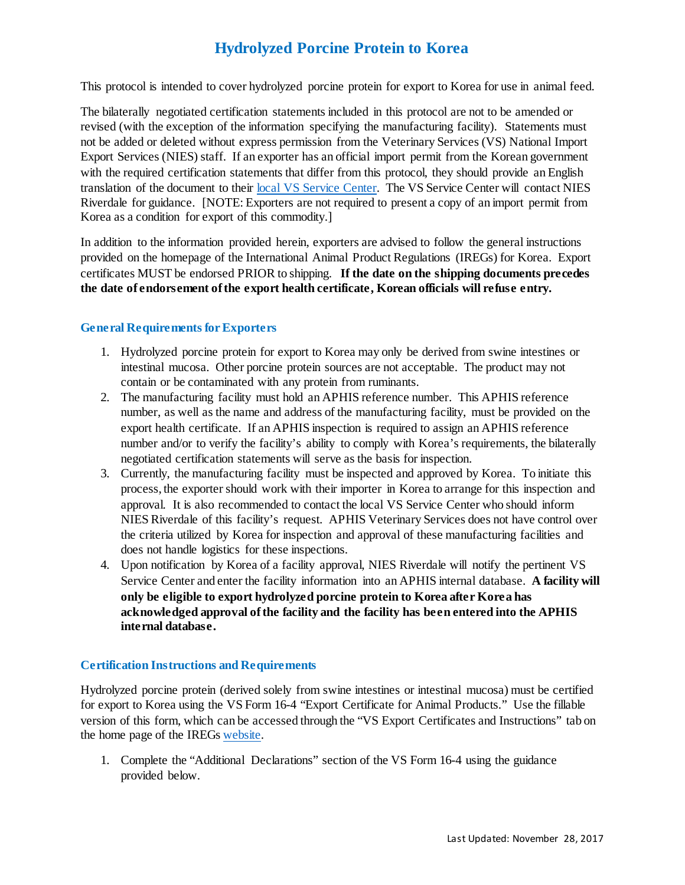# **Hydrolyzed Porcine Protein to Korea**

This protocol is intended to cover hydrolyzed porcine protein for export to Korea for use in animal feed.

The bilaterally negotiated certification statements included in this protocol are not to be amended or revised (with the exception of the information specifying the manufacturing facility). Statements must not be added or deleted without express permission from the Veterinary Services (VS) National Import Export Services (NIES) staff. If an exporter has an official import permit from the Korean government with the required certification statements that differ from this protocol, they should provide an English translation of the document to their [local VS Service Center.](https://www.aphis.usda.gov/animal_health/downloads/nies_contacts/sc.pdf) The VS Service Center will contact NIES Riverdale for guidance. [NOTE: Exporters are not required to present a copy of an import permit from Korea as a condition for export of this commodity.]

In addition to the information provided herein, exporters are advised to follow the general instructions provided on the homepage of the International Animal Product Regulations (IREGs) for Korea. Export certificates MUST be endorsed PRIOR to shipping. **If the date on the shipping documents precedes the date of endorsement of the export health certificate, Korean officials will refuse entry.** 

### **General Requirements for Exporters**

- 1. Hydrolyzed porcine protein for export to Korea may only be derived from swine intestines or intestinal mucosa. Other porcine protein sources are not acceptable. The product may not contain or be contaminated with any protein from ruminants.
- 2. The manufacturing facility must hold an APHIS reference number. This APHIS reference number, as well as the name and address of the manufacturing facility, must be provided on the export health certificate. If an APHIS inspection is required to assign an APHIS reference number and/or to verify the facility's ability to comply with Korea's requirements, the bilaterally negotiated certification statements will serve as the basis for inspection.
- 3. Currently, the manufacturing facility must be inspected and approved by Korea. To initiate this process, the exporter should work with their importer in Korea to arrange for this inspection and approval. It is also recommended to contact the local VS Service Center who should inform NIES Riverdale of this facility's request. APHIS Veterinary Services does not have control over the criteria utilized by Korea for inspection and approval of these manufacturing facilities and does not handle logistics for these inspections.
- 4. Upon notification by Korea of a facility approval, NIES Riverdale will notify the pertinent VS Service Center and enter the facility information into an APHIS internal database. **A facility will only be eligible to export hydrolyzed porcine protein to Korea after Korea has acknowledged approval of the facility and the facility has been entered into the APHIS internal database.**

#### **Certification Instructions and Requirements**

Hydrolyzed porcine protein (derived solely from swine intestines or intestinal mucosa) must be certified for export to Korea using the VS Form 16-4 "Export Certificate for Animal Products." Use the fillable version of this form, which can be accessed through the "VS Export Certificates and Instructions" tab on the home page of the IREG[s website.](https://www.aphis.usda.gov/aphis/ourfocus/animalhealth/export/iregs-for-animal-product-exports/ct_iregs_animal_product_exports_home)

1. Complete the "Additional Declarations" section of the VS Form 16-4 using the guidance provided below.